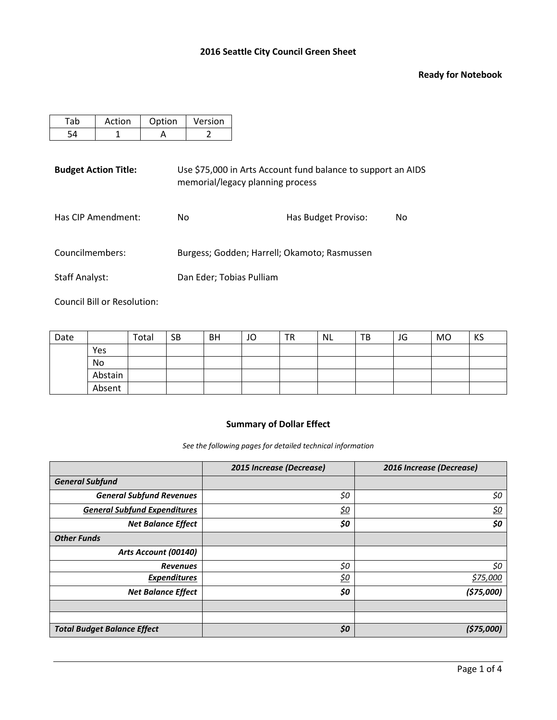#### **Ready for Notebook**

| Action | Option | Version |
|--------|--------|---------|
|        |        |         |

**Budget Action Title:** Use \$75,000 in Arts Account fund balance to support an AIDS memorial/legacy planning process

| Has CIP Amendment: | Has Budget Proviso:<br>No. |  | No. |
|--------------------|----------------------------|--|-----|
|                    |                            |  |     |

Councilmembers: Burgess; Godden; Harrell; Okamoto; Rasmussen

Staff Analyst: Dan Eder; Tobias Pulliam

Council Bill or Resolution:

| Date |         | Total | <b>SB</b> | BH | JO | TR | NL | TВ | JG | <b>MO</b> | KS |
|------|---------|-------|-----------|----|----|----|----|----|----|-----------|----|
|      | Yes     |       |           |    |    |    |    |    |    |           |    |
|      | No      |       |           |    |    |    |    |    |    |           |    |
|      | Abstain |       |           |    |    |    |    |    |    |           |    |
|      | Absent  |       |           |    |    |    |    |    |    |           |    |

# **Summary of Dollar Effect**

*See the following pages for detailed technical information*

|                                     | 2015 Increase (Decrease) | 2016 Increase (Decrease) |
|-------------------------------------|--------------------------|--------------------------|
| <b>General Subfund</b>              |                          |                          |
| <b>General Subfund Revenues</b>     | \$0                      | \$0                      |
| <b>General Subfund Expenditures</b> | <u>\$0</u>               | <u>\$0</u>               |
| <b>Net Balance Effect</b>           | \$0                      | \$0                      |
| <b>Other Funds</b>                  |                          |                          |
| Arts Account (00140)                |                          |                          |
| <b>Revenues</b>                     | \$0                      | \$0                      |
| <b>Expenditures</b>                 | <u>\$0</u>               | \$75,000                 |
| <b>Net Balance Effect</b>           | \$0                      | (575,000)                |
|                                     |                          |                          |
|                                     |                          |                          |
| <b>Total Budget Balance Effect</b>  | \$0                      | (\$75,000)               |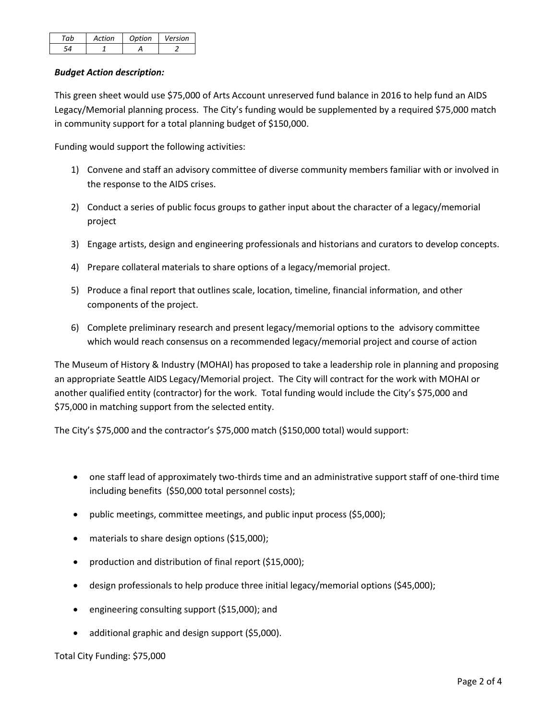| ~ h | Action | Ontion | Version |
|-----|--------|--------|---------|
|     |        |        |         |

# *Budget Action description:*

This green sheet would use \$75,000 of Arts Account unreserved fund balance in 2016 to help fund an AIDS Legacy/Memorial planning process. The City's funding would be supplemented by a required \$75,000 match in community support for a total planning budget of \$150,000.

Funding would support the following activities:

- 1) Convene and staff an advisory committee of diverse community members familiar with or involved in the response to the AIDS crises.
- 2) Conduct a series of public focus groups to gather input about the character of a legacy/memorial project
- 3) Engage artists, design and engineering professionals and historians and curators to develop concepts.
- 4) Prepare collateral materials to share options of a legacy/memorial project.
- 5) Produce a final report that outlines scale, location, timeline, financial information, and other components of the project.
- 6) Complete preliminary research and present legacy/memorial options to the advisory committee which would reach consensus on a recommended legacy/memorial project and course of action

The Museum of History & Industry (MOHAI) has proposed to take a leadership role in planning and proposing an appropriate Seattle AIDS Legacy/Memorial project. The City will contract for the work with MOHAI or another qualified entity (contractor) for the work. Total funding would include the City's \$75,000 and \$75,000 in matching support from the selected entity.

The City's \$75,000 and the contractor's \$75,000 match (\$150,000 total) would support:

- one staff lead of approximately two-thirds time and an administrative support staff of one-third time including benefits (\$50,000 total personnel costs);
- public meetings, committee meetings, and public input process (\$5,000);
- materials to share design options (\$15,000);
- production and distribution of final report (\$15,000);
- design professionals to help produce three initial legacy/memorial options (\$45,000);
- engineering consulting support (\$15,000); and
- additional graphic and design support (\$5,000).

Total City Funding: \$75,000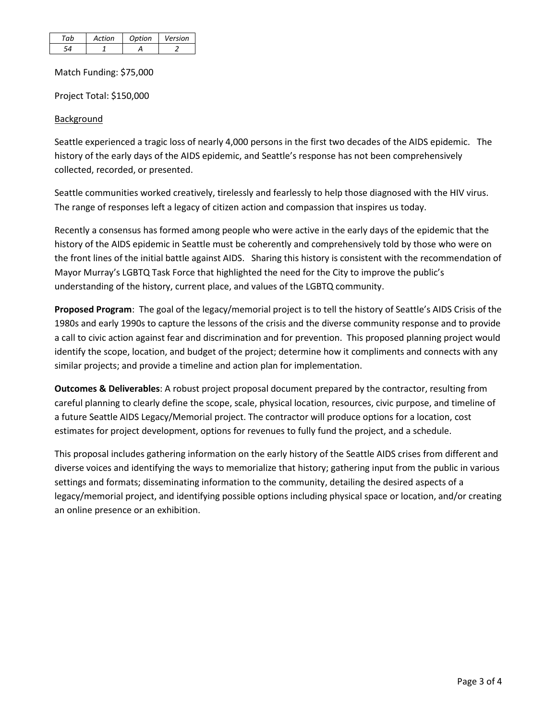| Action | Ontion | Version |
|--------|--------|---------|
|        |        |         |

Match Funding: \$75,000

Project Total: \$150,000

# **Background**

Seattle experienced a tragic loss of nearly 4,000 persons in the first two decades of the AIDS epidemic. The history of the early days of the AIDS epidemic, and Seattle's response has not been comprehensively collected, recorded, or presented.

Seattle communities worked creatively, tirelessly and fearlessly to help those diagnosed with the HIV virus. The range of responses left a legacy of citizen action and compassion that inspires us today.

Recently a consensus has formed among people who were active in the early days of the epidemic that the history of the AIDS epidemic in Seattle must be coherently and comprehensively told by those who were on the front lines of the initial battle against AIDS. Sharing this history is consistent with the recommendation of Mayor Murray's LGBTQ Task Force that highlighted the need for the City to improve the public's understanding of the history, current place, and values of the LGBTQ community.

**Proposed Program**: The goal of the legacy/memorial project is to tell the history of Seattle's AIDS Crisis of the 1980s and early 1990s to capture the lessons of the crisis and the diverse community response and to provide a call to civic action against fear and discrimination and for prevention. This proposed planning project would identify the scope, location, and budget of the project; determine how it compliments and connects with any similar projects; and provide a timeline and action plan for implementation.

**Outcomes & Deliverables**: A robust project proposal document prepared by the contractor, resulting from careful planning to clearly define the scope, scale, physical location, resources, civic purpose, and timeline of a future Seattle AIDS Legacy/Memorial project. The contractor will produce options for a location, cost estimates for project development, options for revenues to fully fund the project, and a schedule.

This proposal includes gathering information on the early history of the Seattle AIDS crises from different and diverse voices and identifying the ways to memorialize that history; gathering input from the public in various settings and formats; disseminating information to the community, detailing the desired aspects of a legacy/memorial project, and identifying possible options including physical space or location, and/or creating an online presence or an exhibition.